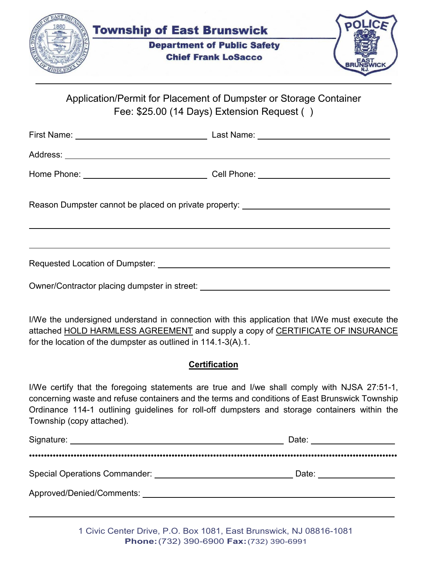

Application/Permit for Placement of Dumpster or Storage Container Fee: \$25.00 (14 Days) Extension Request ( )

| Reason Dumpster cannot be placed on private property: __________________________ |  |  |
|----------------------------------------------------------------------------------|--|--|
|                                                                                  |  |  |
|                                                                                  |  |  |
|                                                                                  |  |  |

I/We the undersigned understand in connection with this application that I/We must execute the attached HOLD HARMLESS AGREEMENT and supply a copy of CERTIFICATE OF INSURANCE for the location of the dumpster as outlined in 114.1-3(A).1.

## **Certification**

I/We certify that the foregoing statements are true and I/we shall comply with NJSA 27:51-1, concerning waste and refuse containers and the terms and conditions of East Brunswick Township Ordinance 114-1 outlining guidelines for roll-off dumpsters and storage containers within the Township (copy attached).

| Signature:                           | Date: |
|--------------------------------------|-------|
| <b>Special Operations Commander:</b> | Date: |
| Approved/Denied/Comments: __         |       |

1 Civic Center Drive, P.O. Box 1081, East Brunswick, NJ 08816-1081 **Phone:**(732) 390-6900 **Fax:**(732) 390-6991